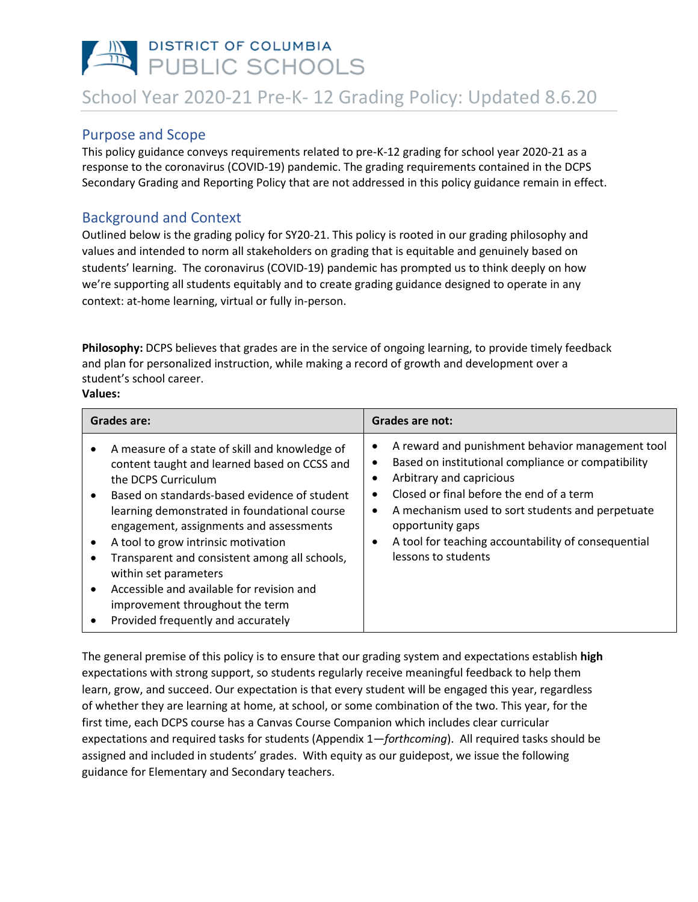# PUBLIC SCHOOLS School Year 2020-21 Pre-K- 12 Grading Policy: Updated 8.6.20

## Purpose and Scope

This policy guidance conveys requirements related to pre-K-12 grading for school year 2020-21 as a response to the coronavirus (COVID-19) pandemic. The grading requirements contained in the DCPS Secondary Grading and Reporting Policy that are not addressed in this policy guidance remain in effect.

# Background and Context

Outlined below is the grading policy for SY20-21. This policy is rooted in our grading philosophy and values and intended to norm all stakeholders on grading that is equitable and genuinely based on students' learning. The coronavirus (COVID-19) pandemic has prompted us to think deeply on how we're supporting all students equitably and to create grading guidance designed to operate in any context: at-home learning, virtual or fully in-person.

**Philosophy:** DCPS believes that grades are in the service of ongoing learning, to provide timely feedback and plan for personalized instruction, while making a record of growth and development over a student's school career. **Values:**

#### **Grades are: Grades are not:** • A measure of a state of skill and knowledge of content taught and learned based on CCSS and the DCPS Curriculum • Based on standards-based evidence of student learning demonstrated in foundational course engagement, assignments and assessments • A tool to grow intrinsic motivation • Transparent and consistent among all schools, within set parameters • Accessible and available for revision and improvement throughout the term • Provided frequently and accurately • A reward and punishment behavior management tool • Based on institutional compliance or compatibility • Arbitrary and capricious • Closed or final before the end of a term • A mechanism used to sort students and perpetuate opportunity gaps • A tool for teaching accountability of consequential lessons to students

The general premise of this policy is to ensure that our grading system and expectations establish **high**  expectations with strong support, so students regularly receive meaningful feedback to help them learn, grow, and succeed. Our expectation is that every student will be engaged this year, regardless of whether they are learning at home, at school, or some combination of the two. This year, for the first time, each DCPS course has a Canvas Course Companion which includes clear curricular expectations and required tasks for students (Appendix 1—*forthcoming*). All required tasks should be assigned and included in students' grades. With equity as our guidepost, we issue the following guidance for Elementary and Secondary teachers.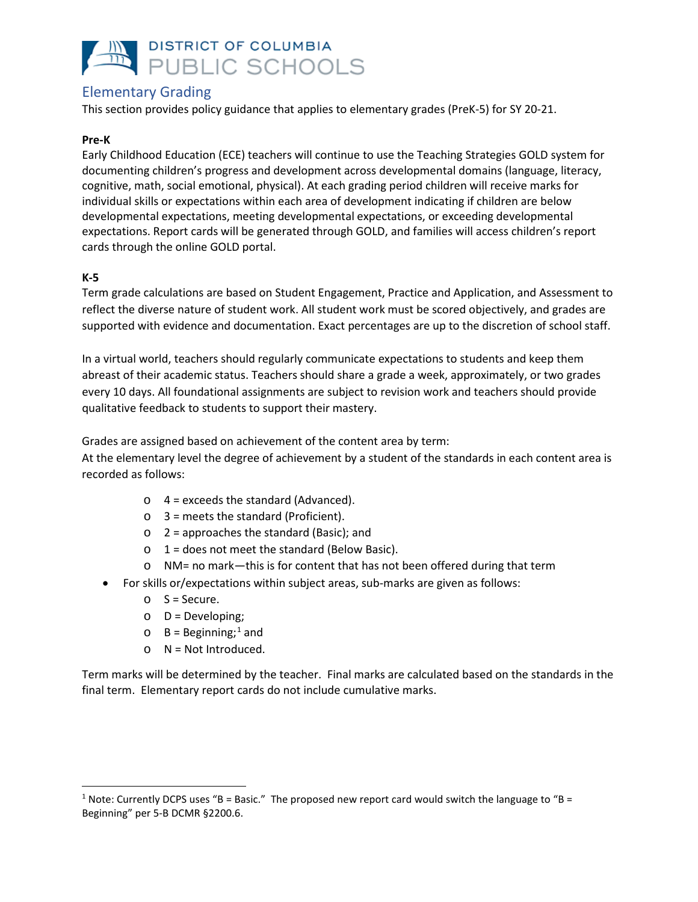

# Elementary Grading

This section provides policy guidance that applies to elementary grades (PreK-5) for SY 20-21.

### **Pre-K**

Early Childhood Education (ECE) teachers will continue to use the Teaching Strategies GOLD system for documenting children's progress and development across developmental domains (language, literacy, cognitive, math, social emotional, physical). At each grading period children will receive marks for individual skills or expectations within each area of development indicating if children are below developmental expectations, meeting developmental expectations, or exceeding developmental expectations. Report cards will be generated through GOLD, and families will access children's report cards through the online GOLD portal.

### **K-5**

Term grade calculations are based on Student Engagement, Practice and Application, and Assessment to reflect the diverse nature of student work. All student work must be scored objectively, and grades are supported with evidence and documentation. Exact percentages are up to the discretion of school staff.

In a virtual world, teachers should regularly communicate expectations to students and keep them abreast of their academic status. Teachers should share a grade a week, approximately, or two grades every 10 days. All foundational assignments are subject to revision work and teachers should provide qualitative feedback to students to support their mastery.

Grades are assigned based on achievement of the content area by term:

At the elementary level the degree of achievement by a student of the standards in each content area is recorded as follows:

- $\circ$  4 = exceeds the standard (Advanced).
- $\circ$  3 = meets the standard (Proficient).
- $\circ$  2 = approaches the standard (Basic); and
- $\circ$  1 = does not meet the standard (Below Basic).
- o NM= no mark—this is for content that has not been offered during that term
- For skills or/expectations within subject areas, sub-marks are given as follows:
	- $O$  S = Secure.
	- $O = Developing;$
	- $\circ$  B = Beginning;<sup>[1](#page-1-0)</sup> and
	- $\circ$  N = Not Introduced.

Term marks will be determined by the teacher. Final marks are calculated based on the standards in the final term. Elementary report cards do not include cumulative marks.

<span id="page-1-0"></span><sup>&</sup>lt;sup>1</sup> Note: Currently DCPS uses "B = Basic." The proposed new report card would switch the language to "B = Beginning" per 5-B DCMR §2200.6.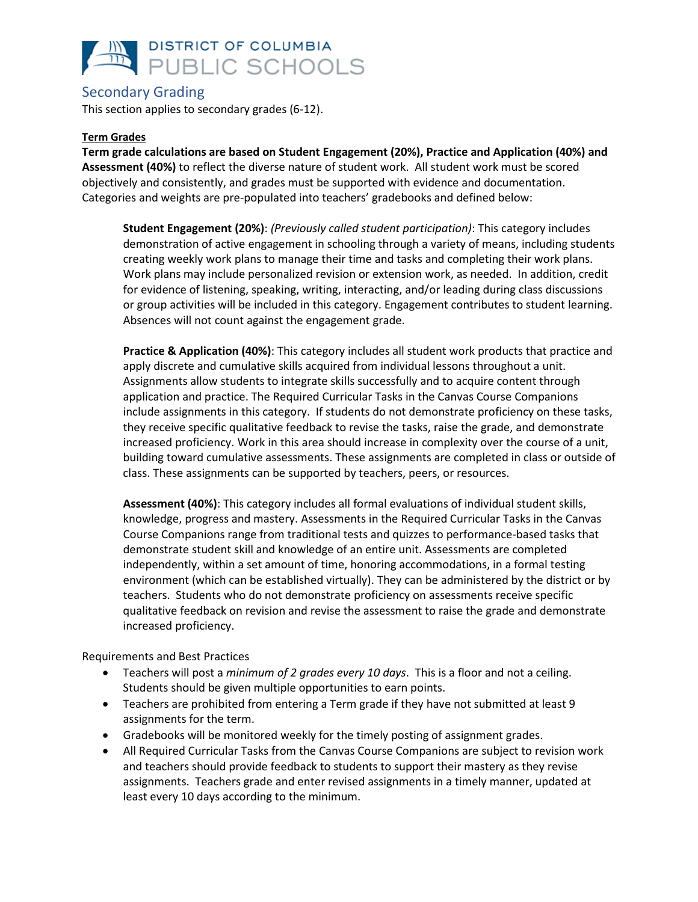

### Secondary Grading

This section applies to secondary grades (6-12).

### **Term Grades**

**Term grade calculations are based on Student Engagement (20%), Practice and Application (40%) and Assessment (40%)** to reflect the diverse nature of student work. All student work must be scored objectively and consistently, and grades must be supported with evidence and documentation. Categories and weights are pre-populated into teachers' gradebooks and defined below:

**Student Engagement (20%)**: *(Previously called student participation)*: This category includes demonstration of active engagement in schooling through a variety of means, including students creating weekly work plans to manage their time and tasks and completing their work plans. Work plans may include personalized revision or extension work, as needed. In addition, credit for evidence of listening, speaking, writing, interacting, and/or leading during class discussions or group activities will be included in this category. Engagement contributes to student learning. Absences will not count against the engagement grade.

**Practice & Application (40%)**: This category includes all student work products that practice and apply discrete and cumulative skills acquired from individual lessons throughout a unit. Assignments allow students to integrate skills successfully and to acquire content through application and practice. The Required Curricular Tasks in the Canvas Course Companions include assignments in this category. If students do not demonstrate proficiency on these tasks, they receive specific qualitative feedback to revise the tasks, raise the grade, and demonstrate increased proficiency. Work in this area should increase in complexity over the course of a unit, building toward cumulative assessments. These assignments are completed in class or outside of class. These assignments can be supported by teachers, peers, or resources.

**Assessment (40%)**: This category includes all formal evaluations of individual student skills, knowledge, progress and mastery. Assessments in the Required Curricular Tasks in the Canvas Course Companions range from traditional tests and quizzes to performance-based tasks that demonstrate student skill and knowledge of an entire unit. Assessments are completed independently, within a set amount of time, honoring accommodations, in a formal testing environment (which can be established virtually). They can be administered by the district or by teachers. Students who do not demonstrate proficiency on assessments receive specific qualitative feedback on revision and revise the assessment to raise the grade and demonstrate increased proficiency.

Requirements and Best Practices

- Teachers will post a *minimum of 2 grades every 10 days*. This is a floor and not a ceiling. Students should be given multiple opportunities to earn points.
- Teachers are prohibited from entering a Term grade if they have not submitted at least 9 assignments for the term.
- Gradebooks will be monitored weekly for the timely posting of assignment grades.
- All Required Curricular Tasks from the Canvas Course Companions are subject to revision work and teachers should provide feedback to students to support their mastery as they revise assignments. Teachers grade and enter revised assignments in a timely manner, updated at least every 10 days according to the minimum.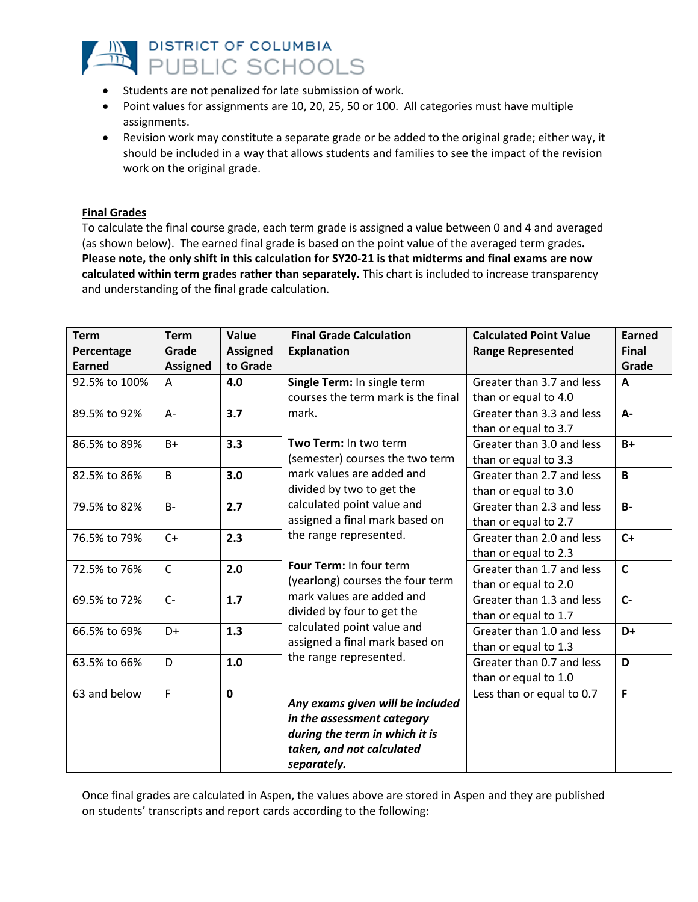

- Students are not penalized for late submission of work.
- Point values for assignments are 10, 20, 25, 50 or 100. All categories must have multiple assignments.
- Revision work may constitute a separate grade or be added to the original grade; either way, it should be included in a way that allows students and families to see the impact of the revision work on the original grade.

### **Final Grades**

To calculate the final course grade, each term grade is assigned a value between 0 and 4 and averaged (as shown below). The earned final grade is based on the point value of the averaged term grades**. Please note, the only shift in this calculation for SY20-21 is that midterms and final exams are now calculated within term grades rather than separately.** This chart is included to increase transparency and understanding of the final grade calculation.

| <b>Term</b><br>Percentage<br><b>Earned</b> | <b>Term</b><br>Grade<br><b>Assigned</b> | Value<br><b>Assigned</b><br>to Grade | <b>Final Grade Calculation</b><br><b>Explanation</b>                                                                                              | <b>Calculated Point Value</b><br><b>Range Represented</b> | <b>Earned</b><br><b>Final</b><br>Grade |
|--------------------------------------------|-----------------------------------------|--------------------------------------|---------------------------------------------------------------------------------------------------------------------------------------------------|-----------------------------------------------------------|----------------------------------------|
| 92.5% to 100%                              | A                                       | 4.0                                  | Single Term: In single term<br>courses the term mark is the final                                                                                 | Greater than 3.7 and less<br>than or equal to 4.0         | A                                      |
| 89.5% to 92%                               | A-                                      | 3.7                                  | mark.                                                                                                                                             | Greater than 3.3 and less<br>than or equal to 3.7         | A-                                     |
| 86.5% to 89%                               | $B+$                                    | 3.3                                  | Two Term: In two term<br>(semester) courses the two term                                                                                          | Greater than 3.0 and less<br>than or equal to 3.3         | $B+$                                   |
| 82.5% to 86%                               | B                                       | 3.0                                  | mark values are added and<br>divided by two to get the                                                                                            | Greater than 2.7 and less<br>than or equal to 3.0         | $\mathbf{B}$                           |
| 79.5% to 82%                               | $B -$                                   | 2.7                                  | calculated point value and<br>assigned a final mark based on                                                                                      | Greater than 2.3 and less<br>than or equal to 2.7         | $B -$                                  |
| 76.5% to 79%                               | $C+$                                    | 2.3                                  | the range represented.                                                                                                                            | Greater than 2.0 and less<br>than or equal to 2.3         | $C+$                                   |
| 72.5% to 76%                               | $\mathsf{C}$                            | 2.0                                  | Four Term: In four term<br>(yearlong) courses the four term                                                                                       | Greater than 1.7 and less<br>than or equal to 2.0         | $\mathsf{C}$                           |
| 69.5% to 72%                               | $C -$                                   | 1.7                                  | mark values are added and<br>divided by four to get the<br>calculated point value and<br>assigned a final mark based on<br>the range represented. | Greater than 1.3 and less<br>than or equal to 1.7         | $C -$                                  |
| 66.5% to 69%                               | $D+$                                    | 1.3                                  |                                                                                                                                                   | Greater than 1.0 and less<br>than or equal to 1.3         | D+                                     |
| 63.5% to 66%                               | D                                       | 1.0                                  |                                                                                                                                                   | Greater than 0.7 and less<br>than or equal to 1.0         | D                                      |
| 63 and below                               | F.                                      | $\mathbf 0$                          | Any exams given will be included<br>in the assessment category<br>during the term in which it is<br>taken, and not calculated<br>separately.      | Less than or equal to 0.7                                 | F                                      |

Once final grades are calculated in Aspen, the values above are stored in Aspen and they are published on students' transcripts and report cards according to the following: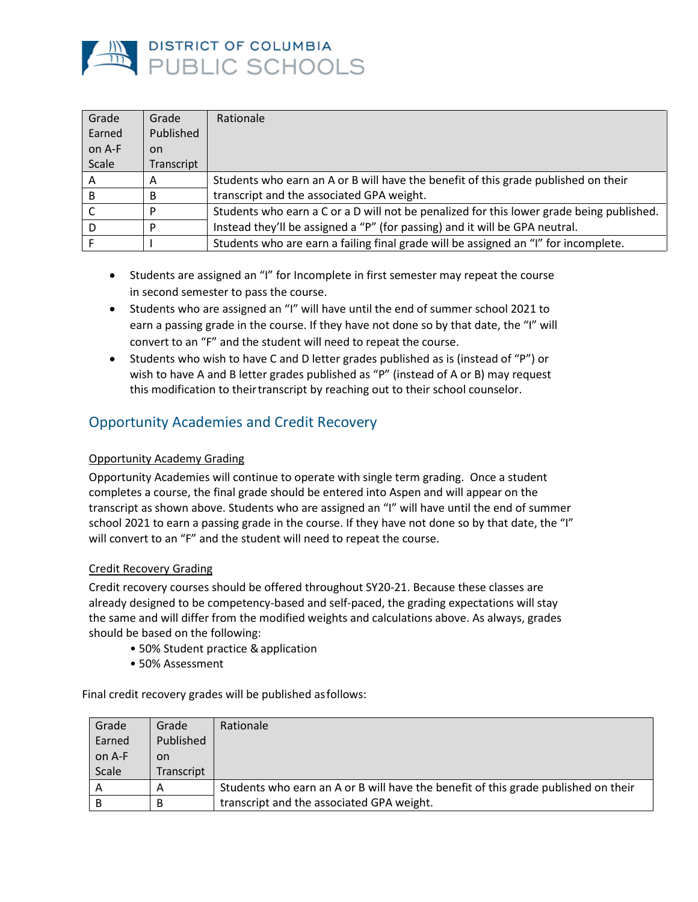

| Grade        | Grade      | Rationale                                                                                |
|--------------|------------|------------------------------------------------------------------------------------------|
| Earned       | Published  |                                                                                          |
| on A-F       | <b>on</b>  |                                                                                          |
| <b>Scale</b> | Transcript |                                                                                          |
| А            | Α          | Students who earn an A or B will have the benefit of this grade published on their       |
| B            | B          | transcript and the associated GPA weight.                                                |
|              | P          | Students who earn a C or a D will not be penalized for this lower grade being published. |
|              | D          | Instead they'll be assigned a "P" (for passing) and it will be GPA neutral.              |
|              |            | Students who are earn a failing final grade will be assigned an "I" for incomplete.      |

- Students are assigned an "I" for Incomplete in first semester may repeat the course in second semester to pass the course.
- Students who are assigned an "I" will have until the end of summer school 2021 to earn a passing grade in the course. If they have not done so by that date, the "I" will convert to an "F" and the student will need to repeat the course.
- Students who wish to have C and D letter grades published as is (instead of "P") or wish to have A and B letter grades published as "P" (instead of A or B) may request this modification to theirtranscript by reaching out to their school counselor.

# Opportunity Academies and Credit Recovery

### Opportunity Academy Grading

Opportunity Academies will continue to operate with single term grading. Once a student completes a course, the final grade should be entered into Aspen and will appear on the transcript as shown above. Students who are assigned an "I" will have until the end of summer school 2021 to earn a passing grade in the course. If they have not done so by that date, the "I" will convert to an "F" and the student will need to repeat the course.

### Credit Recovery Grading

Credit recovery courses should be offered throughout SY20-21. Because these classes are already designed to be competency-based and self-paced, the grading expectations will stay the same and will differ from the modified weights and calculations above. As always, grades should be based on the following:

- 50% Student practice & application
- 50% Assessment

Final credit recovery grades will be published asfollows:

| Grade  | Grade      | Rationale                                                                          |
|--------|------------|------------------------------------------------------------------------------------|
| Earned | Published  |                                                                                    |
| on A-F | on.        |                                                                                    |
| Scale  | Transcript |                                                                                    |
| A      | А          | Students who earn an A or B will have the benefit of this grade published on their |
| B      | B          | transcript and the associated GPA weight.                                          |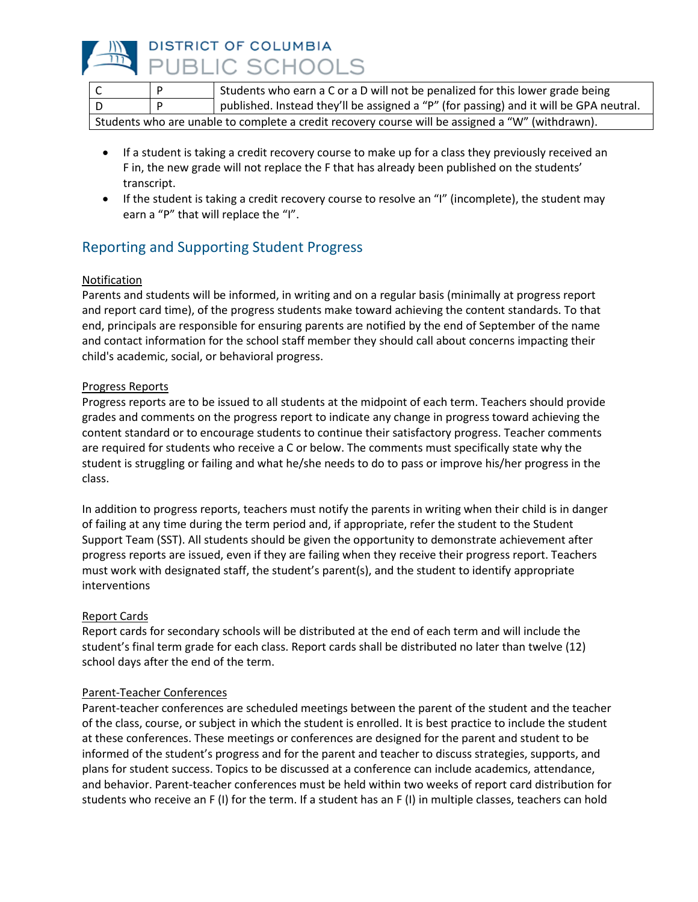

|                                                                                                  |  | <sup>1</sup> Students who earn a C or a D will not be penalized for this lower grade being |  |
|--------------------------------------------------------------------------------------------------|--|--------------------------------------------------------------------------------------------|--|
|                                                                                                  |  | published. Instead they'll be assigned a "P" (for passing) and it will be GPA neutral.     |  |
| Students who are unable to complete a credit recovery course will be assigned a "W" (withdrawn). |  |                                                                                            |  |

- If a student is taking a credit recovery course to make up for a class they previously received an F in, the new grade will not replace the F that has already been published on the students' transcript.
- If the student is taking a credit recovery course to resolve an "I" (incomplete), the student may earn a "P" that will replace the "I".

# Reporting and Supporting Student Progress

### Notification

Parents and students will be informed, in writing and on a regular basis (minimally at progress report and report card time), of the progress students make toward achieving the content standards. To that end, principals are responsible for ensuring parents are notified by the end of September of the name and contact information for the school staff member they should call about concerns impacting their child's academic, social, or behavioral progress.

### Progress Reports

Progress reports are to be issued to all students at the midpoint of each term. Teachers should provide grades and comments on the progress report to indicate any change in progress toward achieving the content standard or to encourage students to continue their satisfactory progress. Teacher comments are required for students who receive a C or below. The comments must specifically state why the student is struggling or failing and what he/she needs to do to pass or improve his/her progress in the class.

In addition to progress reports, teachers must notify the parents in writing when their child is in danger of failing at any time during the term period and, if appropriate, refer the student to the Student Support Team (SST). All students should be given the opportunity to demonstrate achievement after progress reports are issued, even if they are failing when they receive their progress report. Teachers must work with designated staff, the student's parent(s), and the student to identify appropriate interventions

### Report Cards

Report cards for secondary schools will be distributed at the end of each term and will include the student's final term grade for each class. Report cards shall be distributed no later than twelve (12) school days after the end of the term.

### Parent-Teacher Conferences

Parent-teacher conferences are scheduled meetings between the parent of the student and the teacher of the class, course, or subject in which the student is enrolled. It is best practice to include the student at these conferences. These meetings or conferences are designed for the parent and student to be informed of the student's progress and for the parent and teacher to discuss strategies, supports, and plans for student success. Topics to be discussed at a conference can include academics, attendance, and behavior. Parent-teacher conferences must be held within two weeks of report card distribution for students who receive an F (I) for the term. If a student has an F (I) in multiple classes, teachers can hold